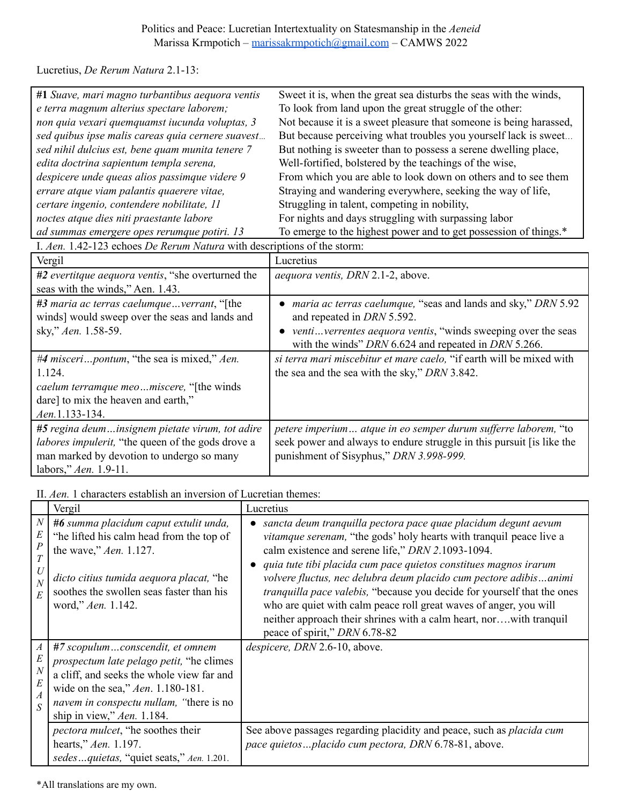## Politics and Peace: Lucretian Intertextuality on Statesmanship in the *Aeneid* Marissa Krmpotich – [marissakrmpotich@gmail.com](mailto:marissakrmpotich@gmail.com) – CAMWS 2022

Lucretius, *De Rerum Natura* 2.1-13:

| #1 Suave, mari magno turbantibus aequora ventis   | Sweet it is, when the great sea disturbs the seas with the winds,  |
|---------------------------------------------------|--------------------------------------------------------------------|
| e terra magnum alterius spectare laborem;         | To look from land upon the great struggle of the other:            |
| non quia vexari quemquamst iucunda voluptas, 3    | Not because it is a sweet pleasure that someone is being harassed, |
| sed quibus ipse malis careas quia cernere suavest | But because perceiving what troubles you yourself lack is sweet    |
| sed nihil dulcius est, bene quam munita tenere 7  | But nothing is sweeter than to possess a serene dwelling place,    |
| edita doctrina sapientum templa serena,           | Well-fortified, bolstered by the teachings of the wise,            |
| despicere unde queas alios passimque videre 9     | From which you are able to look down on others and to see them     |
| errare atque viam palantis quaerere vitae,        | Straying and wandering everywhere, seeking the way of life,        |
| certare ingenio, contendere nobilitate, 11        | Struggling in talent, competing in nobility,                       |
| noctes atque dies niti praestante labore          | For nights and days struggling with surpassing labor               |
| ad summas emergere opes rerumque potiri. 13       | To emerge to the highest power and to get possession of things.*   |

I. *Aen.* 1.42-123 echoes *De Rerum Natura* with descriptions of the storm:

| Vergil                                                   | Lucretius                                                                  |
|----------------------------------------------------------|----------------------------------------------------------------------------|
| #2 evertitque aequora ventis, "she overturned the        | <i>aequora ventis, DRN 2.1-2, above.</i>                                   |
| seas with the winds," Aen. 1.43.                         |                                                                            |
| #3 maria ac terras caelumqueverrant, "[the               | maria ac terras caelumque, "seas and lands and sky," DRN 5.92<br>$\bullet$ |
| winds] would sweep over the seas and lands and           | and repeated in <i>DRN</i> 5.592.                                          |
| sky," Aen. 1.58-59.                                      | • venti verrentes aequora ventis, "winds sweeping over the seas"           |
|                                                          | with the winds" DRN 6.624 and repeated in DRN 5.266.                       |
| #4 misceripontum, "the sea is mixed," Aen.               | si terra mari miscebitur et mare caelo, "if earth will be mixed with       |
| 1.124.                                                   | the sea and the sea with the sky," DRN 3.842.                              |
| caelum terramque meomiscere, "[the winds                 |                                                                            |
| dare] to mix the heaven and earth,"                      |                                                                            |
| Aen.1.133-134.                                           |                                                                            |
| #5 regina deuminsignem pietate virum, tot adire          | petere imperium atque in eo semper durum sufferre laborem, "to             |
| <i>labores impulerit,</i> "the queen of the gods drove a | seek power and always to endure struggle in this pursuit [is like the      |
| man marked by devotion to undergo so many                | punishment of Sisyphus," DRN 3.998-999.                                    |
| labors," $Aen. 1.9-11.$                                  |                                                                            |

II. *Aen.* 1 characters establish an inversion of Lucretian themes:

|                                                               | Vergil                                                                                                                                                                                                                                                                                         | Lucretius                                                                                                                                                                                                                                                                                                                                                                                                                                                                                                                                                                                                       |
|---------------------------------------------------------------|------------------------------------------------------------------------------------------------------------------------------------------------------------------------------------------------------------------------------------------------------------------------------------------------|-----------------------------------------------------------------------------------------------------------------------------------------------------------------------------------------------------------------------------------------------------------------------------------------------------------------------------------------------------------------------------------------------------------------------------------------------------------------------------------------------------------------------------------------------------------------------------------------------------------------|
| $\boldsymbol{N}$<br>E<br>P<br>T<br>U<br>$\boldsymbol{N}$<br>E | #6 summa placidum caput extulit unda,<br>"he lifted his calm head from the top of<br>the wave," <i>Aen.</i> 1.127.<br>dicto citius tumida aequora placat, "he<br>soothes the swollen seas faster than his<br>word," Aen. 1.142.                                                                | sancta deum tranquilla pectora pace quae placidum degunt aevum<br>$\bullet$<br><i>vitamque serenam</i> , "the gods' holy hearts with tranquil peace live a<br>calm existence and serene life," DRN 2.1093-1094.<br>quia tute tibi placida cum pace quietos constitues magnos irarum<br>volvere fluctus, nec delubra deum placido cum pectore adibisanimi<br>tranquilla pace valebis, "because you decide for yourself that the ones<br>who are quiet with calm peace roll great waves of anger, you will<br>neither approach their shrines with a calm heart, norwith tranquil<br>peace of spirit," DRN 6.78-82 |
| $\boldsymbol{N}$<br>E<br>$\boldsymbol{A}$<br>$\overline{S}$   | #7 scopulumconscendit, et omnem<br><i>prospectum late pelago petit,</i> "he climes"<br>a cliff, and seeks the whole view far and<br>wide on the sea," Aen. 1.180-181.<br>navem in conspectu nullam, "there is no<br>ship in view," $Aen. 1.184$ .<br><i>pectora mulcet</i> , "he soothes their | despicere, DRN 2.6-10, above.<br>See above passages regarding placidity and peace, such as <i>placida cum</i>                                                                                                                                                                                                                                                                                                                                                                                                                                                                                                   |
|                                                               | hearts," Aen. 1.197.<br>sedesquietas, "quiet seats," Aen. 1.201.                                                                                                                                                                                                                               | pace quietos  placido cum pectora, DRN 6.78-81, above.                                                                                                                                                                                                                                                                                                                                                                                                                                                                                                                                                          |

\*All translations are my own.